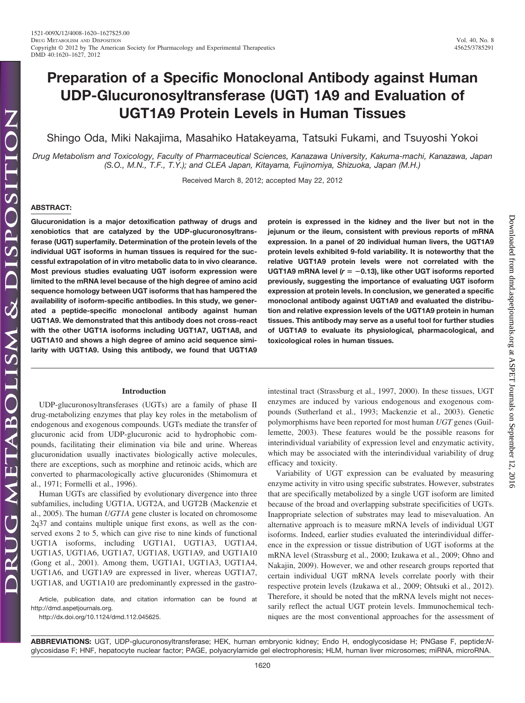# **Preparation of a Specific Monoclonal Antibody against Human UDP-Glucuronosyltransferase (UGT) 1A9 and Evaluation of UGT1A9 Protein Levels in Human Tissues**

Shingo Oda, Miki Nakajima, Masahiko Hatakeyama, Tatsuki Fukami, and Tsuyoshi Yokoi

*Drug Metabolism and Toxicology, Faculty of Pharmaceutical Sciences, Kanazawa University, Kakuma-machi, Kanazawa, Japan (S.O., M.N., T.F., T.Y.); and CLEA Japan, Kitayama, Fujinomiya, Shizuoka, Japan (M.H.)*

Received March 8, 2012; accepted May 22, 2012

## **ABSTRACT:**

**Glucuronidation is a major detoxification pathway of drugs and xenobiotics that are catalyzed by the UDP-glucuronosyltransferase (UGT) superfamily. Determination of the protein levels of the individual UGT isoforms in human tissues is required for the successful extrapolation of in vitro metabolic data to in vivo clearance. Most previous studies evaluating UGT isoform expression were limited to the mRNA level because of the high degree of amino acid sequence homology between UGT isoforms that has hampered the availability of isoform-specific antibodies. In this study, we generated a peptide-specific monoclonal antibody against human UGT1A9. We demonstrated that this antibody does not cross-react with the other UGT1A isoforms including UGT1A7, UGT1A8, and UGT1A10 and shows a high degree of amino acid sequence similarity with UGT1A9. Using this antibody, we found that UGT1A9**

# **Introduction**

UDP-glucuronosyltransferases (UGTs) are a family of phase II drug-metabolizing enzymes that play key roles in the metabolism of endogenous and exogenous compounds. UGTs mediate the transfer of glucuronic acid from UDP-glucuronic acid to hydrophobic compounds, facilitating their elimination via bile and urine. Whereas glucuronidation usually inactivates biologically active molecules, there are exceptions, such as morphine and retinoic acids, which are converted to pharmacologically active glucuronides (Shimomura et al., 1971; Formelli et al., 1996).

Human UGTs are classified by evolutionary divergence into three subfamilies, including UGT1A, UGT2A, and UGT2B (Mackenzie et al., 2005). The human *UGT1A* gene cluster is located on chromosome 2q37 and contains multiple unique first exons, as well as the conserved exons 2 to 5, which can give rise to nine kinds of functional UGT1A isoforms, including UGT1A1, UGT1A3, UGT1A4, UGT1A5, UGT1A6, UGT1A7, UGT1A8, UGT1A9, and UGT1A10 (Gong et al., 2001). Among them, UGT1A1, UGT1A3, UGT1A4, UGT1A6, and UGT1A9 are expressed in liver, whereas UGT1A7, UGT1A8, and UGT1A10 are predominantly expressed in the gastro-

Article, publication date, and citation information can be found at http://dmd.aspetjournals.org.

http://dx.doi.org/10.1124/dmd.112.045625.

**protein is expressed in the kidney and the liver but not in the jejunum or the ileum, consistent with previous reports of mRNA expression. In a panel of 20 individual human livers, the UGT1A9 protein levels exhibited 9-fold variability. It is noteworthy that the relative UGT1A9 protein levels were not correlated with the UGT1A9 mRNA level (***r* -**0.13), like other UGT isoforms reported previously, suggesting the importance of evaluating UGT isoform expression at protein levels. In conclusion, we generated a specific monoclonal antibody against UGT1A9 and evaluated the distribution and relative expression levels of the UGT1A9 protein in human tissues. This antibody may serve as a useful tool for further studies of UGT1A9 to evaluate its physiological, pharmacological, and toxicological roles in human tissues.**

intestinal tract (Strassburg et al., 1997, 2000). In these tissues, UGT enzymes are induced by various endogenous and exogenous compounds (Sutherland et al., 1993; Mackenzie et al., 2003). Genetic polymorphisms have been reported for most human *UGT* genes (Guillemette, 2003). These features would be the possible reasons for interindividual variability of expression level and enzymatic activity, which may be associated with the interindividual variability of drug efficacy and toxicity.

Variability of UGT expression can be evaluated by measuring enzyme activity in vitro using specific substrates. However, substrates that are specifically metabolized by a single UGT isoform are limited because of the broad and overlapping substrate specificities of UGTs. Inappropriate selection of substrates may lead to misevaluation. An alternative approach is to measure mRNA levels of individual UGT isoforms. Indeed, earlier studies evaluated the interindividual difference in the expression or tissue distribution of UGT isoforms at the mRNA level (Strassburg et al., 2000; Izukawa et al., 2009; Ohno and Nakajin, 2009). However, we and other research groups reported that certain individual UGT mRNA levels correlate poorly with their respective protein levels (Izukawa et al., 2009; Ohtsuki et al., 2012). Therefore, it should be noted that the mRNA levels might not necessarily reflect the actual UGT protein levels. Immunochemical techniques are the most conventional approaches for the assessment of

Downloaded from dmd.aspetjournals.org at ASPET Journals on Downloaded from [dmd.aspetjournals.org](http://dmd.aspetjournals.org/) at ASPET Journals on September 12, 2016 September 12,  $.2016$ 

**ABBREVIATIONS:** UGT, UDP-glucuronosyltransferase; HEK, human embryonic kidney; Endo H, endoglycosidase H; PNGase F, peptide:*N*glycosidase F; HNF, hepatocyte nuclear factor; PAGE, polyacrylamide gel electrophoresis; HLM, human liver microsomes; miRNA, microRNA.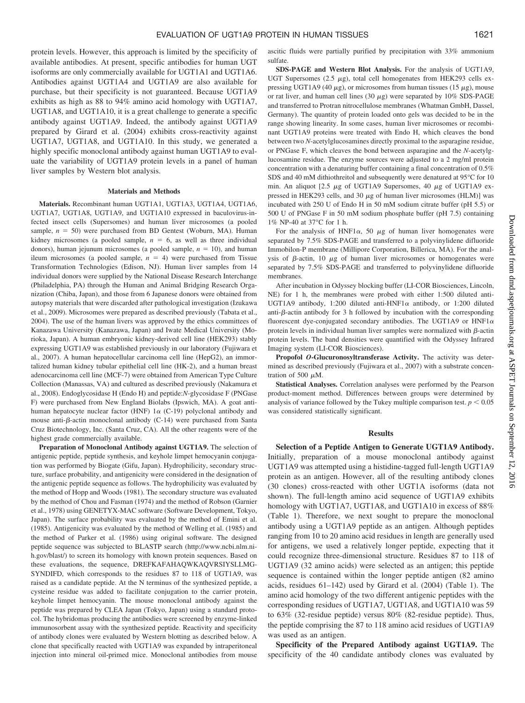protein levels. However, this approach is limited by the specificity of available antibodies. At present, specific antibodies for human UGT isoforms are only commercially available for UGT1A1 and UGT1A6. Antibodies against UGT1A4 and UGT1A9 are also available for purchase, but their specificity is not guaranteed. Because UGT1A9 exhibits as high as 88 to 94% amino acid homology with UGT1A7, UGT1A8, and UGT1A10, it is a great challenge to generate a specific antibody against UGT1A9. Indeed, the antibody against UGT1A9 prepared by Girard et al. (2004) exhibits cross-reactivity against UGT1A7, UGT1A8, and UGT1A10. In this study, we generated a highly specific monoclonal antibody against human UGT1A9 to evaluate the variability of UGT1A9 protein levels in a panel of human liver samples by Western blot analysis.

#### **Materials and Methods**

**Materials.** Recombinant human UGT1A1, UGT1A3, UGT1A4, UGT1A6, UGT1A7, UGT1A8, UGT1A9, and UGT1A10 expressed in baculovirus-infected insect cells (Supersomes) and human liver microsomes (a pooled sample,  $n = 50$ ) were purchased from BD Gentest (Woburn, MA). Human kidney microsomes (a pooled sample,  $n = 6$ , as well as three individual donors), human jejunum microsomes (a pooled sample,  $n = 10$ ), and human ileum microsomes (a pooled sample,  $n = 4$ ) were purchased from Tissue Transformation Technologies (Edison, NJ). Human liver samples from 14 individual donors were supplied by the National Disease Research Interchange (Philadelphia, PA) through the Human and Animal Bridging Research Organization (Chiba, Japan), and those from 6 Japanese donors were obtained from autopsy materials that were discarded after pathological investigation (Izukawa et al., 2009). Microsomes were prepared as described previously (Tabata et al., 2004). The use of the human livers was approved by the ethics committees of Kanazawa University (Kanazawa, Japan) and Iwate Medical University (Morioka, Japan). A human embryonic kidney-derived cell line (HEK293) stably expressing UGT1A9 was established previously in our laboratory (Fujiwara et al., 2007). A human hepatocellular carcinoma cell line (HepG2), an immortalized human kidney tubular epithelial cell line (HK-2), and a human breast adenocarcinoma cell line (MCF-7) were obtained from American Type Culture Collection (Manassas, VA) and cultured as described previously (Nakamura et al., 2008). Endoglycosidase H (Endo H) and peptide:*N*-glycosidase F (PNGase F) were purchased from New England Biolabs (Ipswich, MA). A goat antihuman hepatocyte nuclear factor (HNF)  $1\alpha$  (C-19) polyclonal antibody and mouse anti- $\beta$ -actin monoclonal antibody (C-14) were purchased from Santa Cruz Biotechnology, Inc. (Santa Cruz, CA). All the other reagents were of the highest grade commercially available.

**Preparation of Monoclonal Antibody against UGT1A9.** The selection of antigenic peptide, peptide synthesis, and keyhole limpet hemocyanin conjugation was performed by Biogate (Gifu, Japan). Hydrophilicity, secondary structure, surface probability, and antigenicity were considered in the designation of the antigenic peptide sequence as follows. The hydrophilicity was evaluated by the method of Hopp and Woods (1981). The secondary structure was evaluated by the method of Chou and Fasman (1974) and the method of Robson (Garnier et al., 1978) using GENETYX-MAC software (Software Development, Tokyo, Japan). The surface probability was evaluated by the method of Emini et al. (1985). Antigenicity was evaluated by the method of Welling et al. (1985) and the method of Parker et al. (1986) using original software. The designed peptide sequence was subjected to BLASTP search (http://www.ncbi.nlm.nih.gov/blast/) to screen its homology with known protein sequences. Based on these evaluations, the sequence, DREFKAFAHAQWKAQVRSIYSLLMG-SYNDIFD, which corresponds to the residues 87 to 118 of UGT1A9, was raised as a candidate peptide. At the N terminus of the synthesized peptide, a cysteine residue was added to facilitate conjugation to the carrier protein, keyhole limpet hemocyanin. The mouse monoclonal antibody against the peptide was prepared by CLEA Japan (Tokyo, Japan) using a standard protocol. The hybridomas producing the antibodies were screened by enzyme-linked immunosorbent assay with the synthesized peptide. Reactivity and specificity of antibody clones were evaluated by Western blotting as described below. A clone that specifically reacted with UGT1A9 was expanded by intraperitoneal injection into mineral oil-primed mice. Monoclonal antibodies from mouse

ascitic fluids were partially purified by precipitation with 33% ammonium sulfate.

**SDS-PAGE and Western Blot Analysis.** For the analysis of UGT1A9, UGT Supersomes (2.5  $\mu$ g), total cell homogenates from HEK293 cells expressing UGT1A9 (40  $\mu$ g), or microsomes from human tissues (15  $\mu$ g), mouse or rat liver, and human cell lines (30  $\mu$ g) were separated by 10% SDS-PAGE and transferred to Protran nitrocellulose membranes (Whatman GmbH, Dassel, Germany). The quantity of protein loaded onto gels was decided to be in the range showing linearity. In some cases, human liver microsomes or recombinant UGT1A9 proteins were treated with Endo H, which cleaves the bond between two *N*-acetylglucosamines directly proximal to the asparagine residue, or PNGase F, which cleaves the bond between asparagine and the *N*-acetylglucosamine residue. The enzyme sources were adjusted to a 2 mg/ml protein concentration with a denaturing buffer containing a final concentration of 0.5% SDS and 40 mM dithiothreitol and subsequently were denatured at 95°C for 10 min. An aliquot [2.5  $\mu$ g of UGT1A9 Supersomes, 40  $\mu$ g of UGT1A9 expressed in HEK293 cells, and 30  $\mu$ g of human liver microsomes (HLM)] was incubated with 250 U of Endo H in 50 mM sodium citrate buffer (pH 5.5) or 500 U of PNGase F in 50 mM sodium phosphate buffer (pH 7.5) containing 1% NP-40 at 37°C for 1 h.

For the analysis of HNF1 $\alpha$ , 50  $\mu$ g of human liver homogenates were separated by 7.5% SDS-PAGE and transferred to a polyvinylidene difluoride Immobilon-P membrane (Millipore Corporation, Billerica, MA). For the analysis of  $\beta$ -actin, 10  $\mu$ g of human liver microsomes or homogenates were separated by 7.5% SDS-PAGE and transferred to polyvinylidene difluoride membranes.

After incubation in Odyssey blocking buffer (LI-COR Biosciences, Lincoln, NE) for 1 h, the membranes were probed with either 1:500 diluted anti-UGT1A9 antibody, 1:200 diluted anti-HNF1 $\alpha$  antibody, or 1:200 diluted anti- $\beta$ -actin antibody for 3 h followed by incubation with the corresponding fluorescent dye-conjugated secondary antibodies. The UGT1A9 or  $HNF1\alpha$ protein levels in individual human liver samples were normalized with  $\beta$ -actin protein levels. The band densities were quantified with the Odyssey Infrared Imaging system (LI-COR Biosciences).

**Propofol** *O***-Glucuronosyltransferase Activity.** The activity was determined as described previously (Fujiwara et al., 2007) with a substrate concentration of 500  $\mu$ M.

**Statistical Analyses.** Correlation analyses were performed by the Pearson product-moment method. Differences between groups were determined by analysis of variance followed by the Tukey multiple comparison test.  $p < 0.05$ was considered statistically significant.

## **Results**

**Selection of a Peptide Antigen to Generate UGT1A9 Antibody.** Initially, preparation of a mouse monoclonal antibody against UGT1A9 was attempted using a histidine-tagged full-length UGT1A9 protein as an antigen. However, all of the resulting antibody clones (30 clones) cross-reacted with other UGT1A isoforms (data not shown). The full-length amino acid sequence of UGT1A9 exhibits homology with UGT1A7, UGT1A8, and UGT1A10 in excess of 88% (Table 1). Therefore, we next sought to prepare the monoclonal antibody using a UGT1A9 peptide as an antigen. Although peptides ranging from 10 to 20 amino acid residues in length are generally used for antigens, we used a relatively longer peptide, expecting that it could recognize three-dimensional structure. Residues 87 to 118 of UGT1A9 (32 amino acids) were selected as an antigen; this peptide sequence is contained within the longer peptide antigen (82 amino acids, residues 61–142) used by Girard et al. (2004) (Table 1). The amino acid homology of the two different antigenic peptides with the corresponding residues of UGT1A7, UGT1A8, and UGT1A10 was 59 to 63% (32-residue peptide) versus 80% (82-residue peptide). Thus, the peptide comprising the 87 to 118 amino acid residues of UGT1A9 was used as an antigen.

**Specificity of the Prepared Antibody against UGT1A9.** The specificity of the 40 candidate antibody clones was evaluated by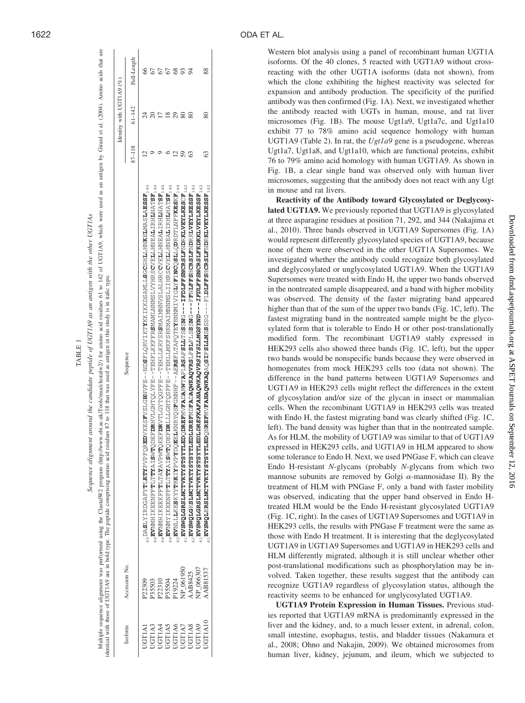|               |                  | Multiple sequence alignment was performed using the ClustalW2 program (http://www.ebi.ac.uk/Tools/msa/clustalw2) for amino acid residues 61 to 142 of UGT1A9, which were used as an antigen by Girard et al. (2004). Amino aci<br>identical with those of UGTLA9 are in bold type. The peptide comprising amino acid residues 87 to 118 that was used as antigen in this study is in italic type. |        |                          |             |
|---------------|------------------|---------------------------------------------------------------------------------------------------------------------------------------------------------------------------------------------------------------------------------------------------------------------------------------------------------------------------------------------------------------------------------------------------|--------|--------------------------|-------------|
|               |                  |                                                                                                                                                                                                                                                                                                                                                                                                   |        | Identity with UGT1A9 (%) |             |
| Isoform       | Accession No.    | Sequence                                                                                                                                                                                                                                                                                                                                                                                          | 87-118 | $61 - 142$               | Full-Length |
| UGTIAI        | P22309           | <sub>2</sub> , DASLYIKDGAFYTLKTYPPQREDVKESFVSLGHNVFE--NDSFLQRVIKTYYKKIKNSAMLLSGCSHLHNKELAMASLASF <sub>145</sub>                                                                                                                                                                                                                                                                                   |        |                          |             |
| <b>JGT1A3</b> | 35503            | <sup>3 P.</sup> 45 LYNNII LYYENLIYAYI SANAN YA SANAN TWENSYAYI AHEL - LA ANG DAN AHEL ANG DAN SANAN TAN TAN TAN TAN TAN TAN                                                                                                                                                                                                                                                                       |        |                          |             |
| JGT1A4        | 22310            | <sup>9 P</sup> -48LYNNII I VENHITYY DOʻNITYYI OʻNIMI VAQSIS XIZITI I HALI I HALI I YAQISHALI I HALI I YAZIYI I HALI I HALI I HALI                                                                                                                                                                                                                                                                 |        |                          |             |
| <b>JGT1A5</b> | <b>POSS</b>      | 3" EACHTHAIT FEINDEATH AN SAHI I TSWANGHI AN SANTI TEAR SAN AN SANTI TEAR SAHA I TEAR SAN SANTI TEAR TEAR TEAR                                                                                                                                                                                                                                                                                    |        |                          |             |
| <b>UGT1A6</b> | <sup>19224</sup> |                                                                                                                                                                                                                                                                                                                                                                                                   |        |                          |             |
| <b>JGT1A7</b> | NP 061950        |                                                                                                                                                                                                                                                                                                                                                                                                   |        |                          |             |
| <b>JGT1A8</b> | AAB8425          |                                                                                                                                                                                                                                                                                                                                                                                                   |        |                          |             |
| <b>JGT1A9</b> | NP 066307        | $1.$ EDL <i>DREFKAFAHAQWKAQVRSIYSI-LMGSYND---IFDLF</i> FSNCRSLFKDKKLVEYLKESSF<br>EVSWQLGRSLVTORISTOWSTSTE                                                                                                                                                                                                                                                                                         |        |                          |             |
| UGT1A10       | <b>AB81537</b>   | $^{57}$ - ASSEVIALING MATARO HERE AND HERE AND HERE AND MANUSCLESS AND MANUSCLESS AND MANUSCRIPT $\sim$                                                                                                                                                                                                                                                                                           |        |                          |             |
|               |                  |                                                                                                                                                                                                                                                                                                                                                                                                   |        |                          |             |

TABLE 1

TABLE

Sequence alignment around the candidate peptide of UGT1A9 as an antigen with the other UGT1As Sequence alignment around the candidate peptide of UGT1A9 as an antigen with the other UGT1As

Western blot analysis using a panel of recombinant human UGT1A isoforms. Of the 40 clones, 5 reacted with UGT1A9 without crossreacting with the other UGT1A isoforms (data not shown), from which the clone exhibiting the highest reactivity was selected for expansion and antibody production. The specificity of the purified antibody was then confirmed (Fig. 1A). Next, we investigated whether the antibody reacted with UGTs in human, mouse, and rat liver microsomes (Fig. 1B). The mouse Ugt1a9, Ugt1a7c, and Ugt1a10 exhibit 77 to 78% amino acid sequence homology with human UGT1A9 (Table 2). In rat, the *Ugt1a9* gene is a pseudogene, whereas Ugt1a7, Ugt1a8, and Ugt1a10, which are functional proteins, exhibit 76 to 79% amino acid homology with human UGT1A9. As shown in Fig. 1B, a clear single band was observed only with human liver microsomes, suggesting that the antibody does not react with any Ugt in mouse and rat livers.

**Reactivity of the Antibody toward Glycosylated or Deglycosylated UGT1A9.** We previously reported that UGT1A9 is glycosylated at three asparagine residues at position 71, 292, and 344 (Nakajima et al., 2010). Three bands observed in UGT1A9 Supersomes (Fig. 1A) would represent differently glycosylated species of UGT1A9, because none of them were observed in the other UGT1A Supersomes. We investigated whether the antibody could recognize both glycosylated and deglycosylated or unglycosylated UGT1A9. When the UGT1A9 Supersomes were treated with Endo H, the upper two bands observed in the nontreated sample disappeared, and a band with higher mobility was observed. The density of the faster migrating band appeared higher than that of the sum of the upper two bands (Fig. 1C, left). The fastest migrating band in the nontreated sample might be the glycosylated form that is tolerable to Endo H or other post-translationally modified form. The recombinant UGT1A9 stably expressed in HEK293 cells also showed three bands (Fig. 1C, left), but the upper two bands would be nonspecific bands because they were observed in homogenates from mock HEK293 cells too (data not shown). The difference in the band patterns between UGT1A9 Supersomes and UGT1A9 in HEK293 cells might reflect the differences in the extent of glycosylation and/or size of the glycan in insect or mammalian cells. When the recombinant UGT1A9 in HEK293 cells was treated with Endo H, the fastest migrating band was clearly shifted (Fig. 1C, left). The band density was higher than that in the nontreated sample. As for HLM, the mobility of UGT1A9 was similar to that of UGT1A9 expressed in HEK293 cells, and UGT1A9 in HLM appeared to show some tolerance to Endo H. Next, we used PNGase F, which can cleave Endo H-resistant *N*-glycans (probably *N*-glycans from which two mannose subunits are removed by Golgi  $\alpha$ -mannosidase II). By the treatment of HLM with PNGase F, only a band with faster mobility was observed, indicating that the upper band observed in Endo Htreated HLM would be the Endo H-resistant glycosylated UGT1A9 (Fig. 1C, right). In the cases of UGT1A9 Supersomes and UGT1A9 in HEK293 cells, the results with PNGase F treatment were the same as those with Endo H treatment. It is interesting that the deglycosylated UGT1A9 in UGT1A9 Supersomes and UGT1A9 in HEK293 cells and HLM differently migrated, although it is still unclear whether other post-translational modifications such as phosphorylation may be involved. Taken together, these results suggest that the antibody can recognize UGT1A9 regardless of glycosylation status, although the reactivity seems to be enhanced for unglycosylated UGT1A9.

**UGT1A9 Protein Expression in Human Tissues.** Previous studies reported that UGT1A9 mRNA is predominantly expressed in the liver and the kidney, and, to a much lesser extent, in adrenal, colon, small intestine, esophagus, testis, and bladder tissues (Nakamura et al., 2008; Ohno and Nakajin, 2009). We obtained microsomes from human liver, kidney, jejunum, and ileum, which we subjected to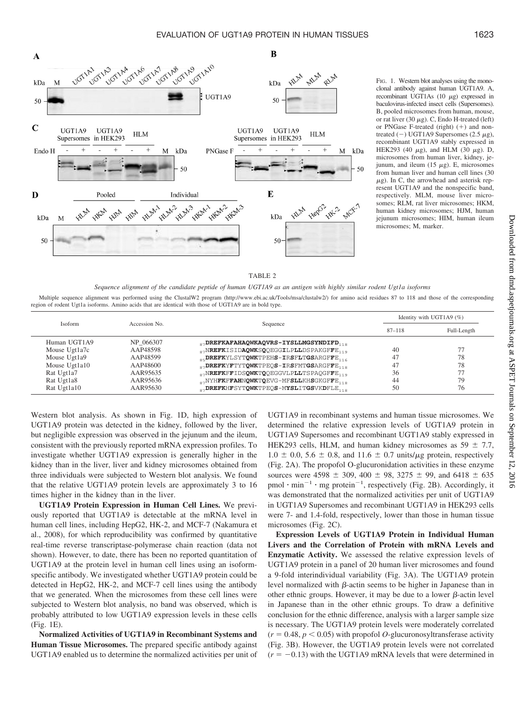

FIG. 1. Western blot analyses using the monoclonal antibody against human UGT1A9. A, recombinant UGT1As  $(10 \mu g)$  expressed in baculovirus-infected insect cells (Supersomes). B, pooled microsomes from human, mouse, or rat liver (30  $\mu$ g). C, Endo H-treated (left) or PNGase F-treated (right)  $(+)$  and nontreated (-) UGT1A9 Supersomes (2.5  $\mu$ g), recombinant UGT1A9 stably expressed in HEK293 (40  $\mu$ g), and HLM (30  $\mu$ g). D, microsomes from human liver, kidney, jejunum, and ileum  $(15 \mu g)$ . E, microsomes from human liver and human cell lines (30  $\mu$ g). In C, the arrowhead and asterisk represent UGT1A9 and the nonspecific band, respectively. MLM, mouse liver microsomes; RLM, rat liver microsomes; HKM, human kidney microsomes; HJM, human jejunum microsomes; HIM, human ileum microsomes; M, marker.

|--|

*Sequence alignment of the candidate peptide of human UGT1A9 as an antigen with highly similar rodent Ugt1a isoforms*

Multiple sequence alignment was performed using the ClustalW2 program (http://www.ebi.ac.uk/Tools/msa/clustalw2/) for amino acid residues 87 to 118 and those of the corresponding region of rodent Ugt1a isoforms. Amino acids that are identical with those of UGT1A9 are in bold type.

| <b>Isoform</b> | Accession No. | Sequence                                                 | Identity with UGT1A9 $(\%)$ |             |
|----------------|---------------|----------------------------------------------------------|-----------------------------|-------------|
|                |               |                                                          | $87 - 118$                  | Full-Length |
| Human UGT1A9   | NP 066307     | $_{87}$ DREFKAFAHAQWKAQVRS-IYSLLMGSYNDIFD $_{118}$       |                             |             |
| Mouse Ugt1a7c  | AAP48598      | 87NREFKISIDAQWKSQQEGGILPLLDSPAKGFFE <sub>119</sub>       | 40                          | 77          |
| Mouse Ugt1a9   | AAP48599      | 85DREFKYLSYTQWKTPEHS-IRSFLTGSARGFFE <sub>116</sub>       | 47                          | 78          |
| Mouse Ugt1a10  | AAP48600      | $_{87}$ DREFKYFTYTQWKTPEQS-IRSFMTGSARGFFE <sub>118</sub> | 47                          | 78          |
| Rat Ugt1a7     | AAR95635      | 87NREFKFFIDSQWKTQQEGGVLPLLTSPAQGFFE <sub>119</sub>       | 36                          | 77          |
| Rat Ugt1a8     | AAR95636      | 87NYHFKFFAHNQWKTQEVG-MFSLLKHSGKGFFE <sub>118</sub>       | 44                          | 79          |
| Rat Ugt1a10    | AAR95630      | DREFKHFSYTQWKTPEQS-MYSLITGSVKDFLE                        | 50                          | 76          |

Western blot analysis. As shown in Fig. 1D, high expression of UGT1A9 protein was detected in the kidney, followed by the liver, but negligible expression was observed in the jejunum and the ileum, consistent with the previously reported mRNA expression profiles. To investigate whether UGT1A9 expression is generally higher in the kidney than in the liver, liver and kidney microsomes obtained from three individuals were subjected to Western blot analysis. We found that the relative UGT1A9 protein levels are approximately 3 to 16 times higher in the kidney than in the liver.

**UGT1A9 Protein Expression in Human Cell Lines.** We previously reported that UGT1A9 is detectable at the mRNA level in human cell lines, including HepG2, HK-2, and MCF-7 (Nakamura et al., 2008), for which reproducibility was confirmed by quantitative real-time reverse transcriptase-polymerase chain reaction (data not shown). However, to date, there has been no reported quantitation of UGT1A9 at the protein level in human cell lines using an isoformspecific antibody. We investigated whether UGT1A9 protein could be detected in HepG2, HK-2, and MCF-7 cell lines using the antibody that we generated. When the microsomes from these cell lines were subjected to Western blot analysis, no band was observed, which is probably attributed to low UGT1A9 expression levels in these cells (Fig. 1E).

**Normalized Activities of UGT1A9 in Recombinant Systems and Human Tissue Microsomes.** The prepared specific antibody against UGT1A9 enabled us to determine the normalized activities per unit of UGT1A9 in recombinant systems and human tissue microsomes. We determined the relative expression levels of UGT1A9 protein in UGT1A9 Supersomes and recombinant UGT1A9 stably expressed in HEK293 cells, HLM, and human kidney microsomes as  $59 \pm 7.7$ ,  $1.0 \pm 0.0$ ,  $5.6 \pm 0.8$ , and  $11.6 \pm 0.7$  units/ $\mu$ g protein, respectively (Fig. 2A). The propofol O-glucuronidation activities in these enzyme sources were 4598  $\pm$  309, 400  $\pm$  98, 3275  $\pm$  99, and 6418  $\pm$  635  $pmol \cdot min^{-1} \cdot mg$  protein<sup>-1</sup>, respectively (Fig. 2B). Accordingly, it was demonstrated that the normalized activities per unit of UGT1A9 in UGT1A9 Supersomes and recombinant UGT1A9 in HEK293 cells were 7- and 1.4-fold, respectively, lower than those in human tissue microsomes (Fig. 2C).

**Expression Levels of UGT1A9 Protein in Individual Human Livers and the Correlation of Protein with mRNA Levels and Enzymatic Activity.** We assessed the relative expression levels of UGT1A9 protein in a panel of 20 human liver microsomes and found a 9-fold interindividual variability (Fig. 3A). The UGT1A9 protein level normalized with  $\beta$ -actin seems to be higher in Japanese than in other ethnic groups. However, it may be due to a lower  $\beta$ -actin level in Japanese than in the other ethnic groups. To draw a definitive conclusion for the ethnic difference, analysis with a larger sample size is necessary. The UGT1A9 protein levels were moderately correlated  $(r = 0.48, p < 0.05)$  with propofol *O*-glucuronosyltransferase activity (Fig. 3B). However, the UGT1A9 protein levels were not correlated  $(r = -0.13)$  with the UGT1A9 mRNA levels that were determined in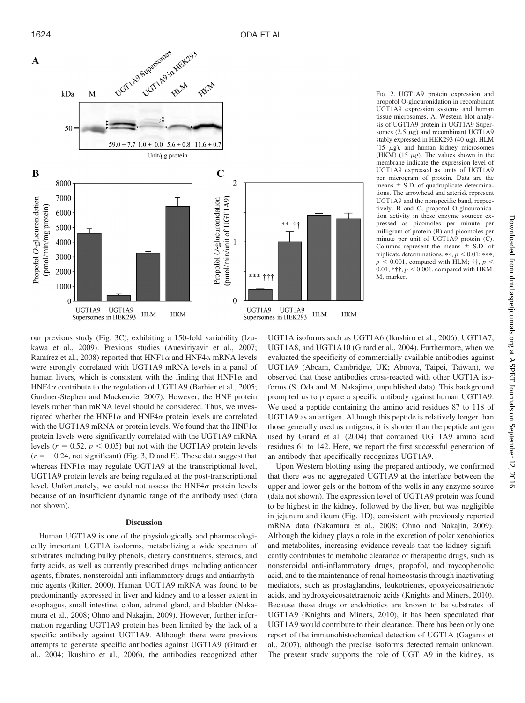

FIG. 2. UGT1A9 protein expression and propofol O-glucuronidation in recombinant UGT1A9 expression systems and human tissue microsomes. A, Western blot analysis of UGT1A9 protein in UGT1A9 Supersomes (2.5  $\mu$ g) and recombinant UGT1A9 stably expressed in HEK293 (40  $\mu$ g), HLM (15  $\mu$ g), and human kidney microsomes (HKM) (15  $\mu$ g). The values shown in the membrane indicate the expression level of UGT1A9 expressed as units of UGT1A9 per microgram of protein. Data are the means  $\pm$  S.D. of quadruplicate determinations. The arrowhead and asterisk represent UGT1A9 and the nonspecific band, respectively. B and C, propofol O-glucuronidation activity in these enzyme sources expressed as picomoles per minute per milligram of protein (B) and picomoles per minute per unit of UGT1A9 protein (C). Columns represent the means  $\pm$  S.D. of triplicate determinations.  $**$ ,  $p < 0.01$ ;  $***$ ,  $p < 0.001$ , compared with HLM;  $\uparrow \uparrow$ ,  $p <$ 0.01;  $\uparrow \uparrow \uparrow$ ,  $p < 0.001$ , compared with HKM. M, marker.

our previous study (Fig. 3C), exhibiting a 150-fold variability (Izukawa et al., 2009). Previous studies (Aueviriyavit et al., 2007; Ramírez et al., 2008) reported that  $HNF1\alpha$  and  $HNF4\alpha$  mRNA levels were strongly correlated with UGT1A9 mRNA levels in a panel of human livers, which is consistent with the finding that  $HNF1\alpha$  and HNF4 $\alpha$  contribute to the regulation of UGT1A9 (Barbier et al., 2005; Gardner-Stephen and Mackenzie, 2007). However, the HNF protein levels rather than mRNA level should be considered. Thus, we investigated whether the HNF1 $\alpha$  and HNF4 $\alpha$  protein levels are correlated with the UGT1A9 mRNA or protein levels. We found that the HNF1 $\alpha$ protein levels were significantly correlated with the UGT1A9 mRNA levels ( $r = 0.52$ ,  $p < 0.05$ ) but not with the UGT1A9 protein levels  $(r = -0.24$ , not significant) (Fig. 3, D and E). These data suggest that whereas  $HNF1\alpha$  may regulate UGT1A9 at the transcriptional level, UGT1A9 protein levels are being regulated at the post-transcriptional level. Unfortunately, we could not assess the  $HNF4\alpha$  protein levels because of an insufficient dynamic range of the antibody used (data not shown).

# **Discussion**

Human UGT1A9 is one of the physiologically and pharmacologically important UGT1A isoforms, metabolizing a wide spectrum of substrates including bulky phenols, dietary constituents, steroids, and fatty acids, as well as currently prescribed drugs including anticancer agents, fibrates, nonsteroidal anti-inflammatory drugs and antiarrhythmic agents (Ritter, 2000). Human UGT1A9 mRNA was found to be predominantly expressed in liver and kidney and to a lesser extent in esophagus, small intestine, colon, adrenal gland, and bladder (Nakamura et al., 2008; Ohno and Nakajin, 2009). However, further information regarding UGT1A9 protein has been limited by the lack of a specific antibody against UGT1A9. Although there were previous attempts to generate specific antibodies against UGT1A9 (Girard et al., 2004; Ikushiro et al., 2006), the antibodies recognized other

UGT1A isoforms such as UGT1A6 (Ikushiro et al., 2006), UGT1A7, UGT1A8, and UGT1A10 (Girard et al., 2004). Furthermore, when we evaluated the specificity of commercially available antibodies against UGT1A9 (Abcam, Cambridge, UK; Abnova, Taipei, Taiwan), we observed that these antibodies cross-reacted with other UGT1A isoforms (S. Oda and M. Nakajima, unpublished data). This background prompted us to prepare a specific antibody against human UGT1A9. We used a peptide containing the amino acid residues 87 to 118 of UGT1A9 as an antigen. Although this peptide is relatively longer than those generally used as antigens, it is shorter than the peptide antigen used by Girard et al. (2004) that contained UGT1A9 amino acid residues 61 to 142. Here, we report the first successful generation of an antibody that specifically recognizes UGT1A9.

Upon Western blotting using the prepared antibody, we confirmed that there was no aggregated UGT1A9 at the interface between the upper and lower gels or the bottom of the wells in any enzyme source (data not shown). The expression level of UGT1A9 protein was found to be highest in the kidney, followed by the liver, but was negligible in jejunum and ileum (Fig. 1D), consistent with previously reported mRNA data (Nakamura et al., 2008; Ohno and Nakajin, 2009). Although the kidney plays a role in the excretion of polar xenobiotics and metabolites, increasing evidence reveals that the kidney significantly contributes to metabolic clearance of therapeutic drugs, such as nonsteroidal anti-inflammatory drugs, propofol, and mycophenolic acid, and to the maintenance of renal homeostasis through inactivating mediators, such as prostaglandins, leukotrienes, epoxyeicosatrienoic acids, and hydroxyeicosatetraenoic acids (Knights and Miners, 2010). Because these drugs or endobiotics are known to be substrates of UGT1A9 (Knights and Miners, 2010), it has been speculated that UGT1A9 would contribute to their clearance. There has been only one report of the immunohistochemical detection of UGT1A (Gaganis et al., 2007), although the precise isoforms detected remain unknown. The present study supports the role of UGT1A9 in the kidney, as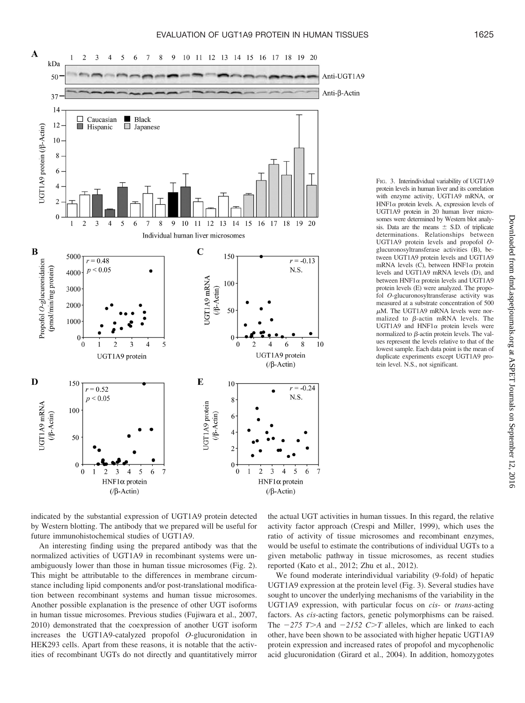

FIG. 3. Interindividual variability of UGT1A9 protein levels in human liver and its correlation with enzyme activity, UGT1A9 mRNA, or  $HNF1\alpha$  protein levels. A, expression levels of UGT1A9 protein in 20 human liver microsomes were determined by Western blot analysis. Data are the means  $\pm$  S.D. of triplicate determinations. Relationships between UGT1A9 protein levels and propofol *O*glucuronosyltransferase activities (B), between UGT1A9 protein levels and UGT1A9 mRNA levels (C), between HNF1 $\alpha$  protein levels and UGT1A9 mRNA levels (D), and between  $HNF1\alpha$  protein levels and UGT1A9 protein levels (E) were analyzed. The propofol *O*-glucuronosyltransferase activity was measured at a substrate concentration of 500  $\mu$ M. The UGT1A9 mRNA levels were normalized to  $\beta$ -actin mRNA levels. The UGT1A9 and  $HNF1\alpha$  protein levels were normalized to  $\beta$ -actin protein levels. The values represent the levels relative to that of the lowest sample. Each data point is the mean of duplicate experiments except UGT1A9 protein level. N.S., not significant.

indicated by the substantial expression of UGT1A9 protein detected by Western blotting. The antibody that we prepared will be useful for future immunohistochemical studies of UGT1A9.

An interesting finding using the prepared antibody was that the normalized activities of UGT1A9 in recombinant systems were unambiguously lower than those in human tissue microsomes (Fig. 2). This might be attributable to the differences in membrane circumstance including lipid components and/or post-translational modification between recombinant systems and human tissue microsomes. Another possible explanation is the presence of other UGT isoforms in human tissue microsomes. Previous studies (Fujiwara et al., 2007, 2010) demonstrated that the coexpression of another UGT isoform increases the UGT1A9-catalyzed propofol *O*-glucuronidation in HEK293 cells. Apart from these reasons, it is notable that the activities of recombinant UGTs do not directly and quantitatively mirror

the actual UGT activities in human tissues. In this regard, the relative activity factor approach (Crespi and Miller, 1999), which uses the ratio of activity of tissue microsomes and recombinant enzymes, would be useful to estimate the contributions of individual UGTs to a given metabolic pathway in tissue microsomes, as recent studies reported (Kato et al., 2012; Zhu et al., 2012).

We found moderate interindividual variability (9-fold) of hepatic UGT1A9 expression at the protein level (Fig. 3). Several studies have sought to uncover the underlying mechanisms of the variability in the UGT1A9 expression, with particular focus on *cis*- or *trans*-acting factors. As *cis*-acting factors, genetic polymorphisms can be raised. The  $-275$  T  $>A$  and  $-2152$  C  $>T$  alleles, which are linked to each other, have been shown to be associated with higher hepatic UGT1A9 protein expression and increased rates of propofol and mycophenolic acid glucuronidation (Girard et al., 2004). In addition, homozygotes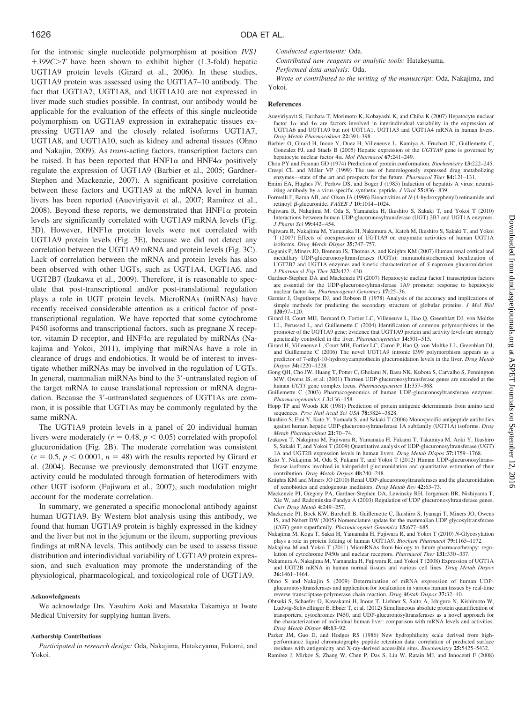for the intronic single nucleotide polymorphism at position *IVS1 399CT* have been shown to exhibit higher (1.3-fold) hepatic UGT1A9 protein levels (Girard et al., 2006). In these studies, UGT1A9 protein was assessed using the UGT1A7–10 antibody. The fact that UGT1A7, UGT1A8, and UGT1A10 are not expressed in liver made such studies possible. In contrast, our antibody would be applicable for the evaluation of the effects of this single nucleotide polymorphism on UGT1A9 expression in extrahepatic tissues expressing UGT1A9 and the closely related isoforms UGT1A7, UGT1A8, and UGT1A10, such as kidney and adrenal tissues (Ohno and Nakajin, 2009). As *trans*-acting factors, transcription factors can be raised. It has been reported that  $HNF1\alpha$  and  $HNF4\alpha$  positively regulate the expression of UGT1A9 (Barbier et al., 2005; Gardner-Stephen and Mackenzie, 2007). A significant positive correlation between these factors and UGT1A9 at the mRNA level in human livers has been reported (Aueviriyavit et al., 2007; Ramírez et al., 2008). Beyond these reports, we demonstrated that  $HNF1\alpha$  protein levels are significantly correlated with UGT1A9 mRNA levels (Fig. 3D). However,  $HNF1\alpha$  protein levels were not correlated with UGT1A9 protein levels (Fig. 3E), because we did not detect any correlation between the UGT1A9 mRNA and protein levels (Fig. 3C). Lack of correlation between the mRNA and protein levels has also been observed with other UGTs, such as UGT1A4, UGT1A6, and UGT2B7 (Izukawa et al., 2009). Therefore, it is reasonable to speculate that post-transcriptional and/or post-translational regulation plays a role in UGT protein levels. MicroRNAs (miRNAs) have recently received considerable attention as a critical factor of posttranscriptional regulation. We have reported that some cytochrome P450 isoforms and transcriptional factors, such as pregnane X receptor, vitamin D receptor, and  $HNF4\alpha$  are regulated by miRNAs (Nakajima and Yokoi, 2011), implying that miRNAs have a role in clearance of drugs and endobiotics. It would be of interest to investigate whether miRNAs may be involved in the regulation of UGTs. In general, mammalian miRNAs bind to the 3'-untranslated region of the target mRNA to cause translational repression or mRNA degradation. Because the 3'-untranslated sequences of UGT1As are common, it is possible that UGT1As may be commonly regulated by the same miRNA.

The UGT1A9 protein levels in a panel of 20 individual human livers were moderately  $(r = 0.48, p < 0.05)$  correlated with propofol glucuronidation (Fig. 2B). The moderate correlation was consistent  $(r = 0.5, p < 0.0001, n = 48)$  with the results reported by Girard et al. (2004). Because we previously demonstrated that UGT enzyme activity could be modulated through formation of heterodimers with other UGT isoform (Fujiwara et al., 2007), such modulation might account for the moderate correlation.

In summary, we generated a specific monoclonal antibody against human UGT1A9. By Western blot analysis using this antibody, we found that human UGT1A9 protein is highly expressed in the kidney and the liver but not in the jejunum or the ileum, supporting previous findings at mRNA levels. This antibody can be used to assess tissue distribution and interindividual variability of UGT1A9 protein expression, and such evaluation may promote the understanding of the physiological, pharmacological, and toxicological role of UGT1A9.

#### **Acknowledgments**

We acknowledge Drs. Yasuhiro Aoki and Masataka Takamiya at Iwate Medical University for supplying human livers.

#### **Authorship Contributions**

*Participated in research design:* Oda, Nakajima, Hatakeyama, Fukami, and Yokoi.

*Conducted experiments:* Oda.

*Contributed new reagents or analytic tools:* Hatakeyama.

*Performed data analysis:* Oda.

*Wrote or contributed to the writing of the manuscript:* Oda, Nakajima, and Yokoi.

### **References**

- Aueviriyavit S, Furihata T, Morimoto K, Kobayashi K, and Chiba K (2007) Hepatocyte nuclear factor  $1\alpha$  and  $4\alpha$  are factors involved in interindividual variability in the expression of UGT1A6 and UGT1A9 but not UGT1A1, UGT1A3 and UGT1A4 mRNA in human livers. *Drug Metab Pharmacokinet* **22:**391–398.
- Barbier O, Girard H, Inoue Y, Duez H, Villeneuve L, Kamiya A, Fruchart JC, Guillemette C, Gonzalez FJ, and Staels B (2005) Hepatic expression of the *UGT1A9* gene is governed by hepatocyte nuclear factor 4α. *Mol Pharmacol* 67:241-249.
- Chou PY and Fasman GD (1974) Prediction of protein conformation. *Biochemistry* **13:**222–245. Crespi CL and Miller VP (1999) The use of heterologously expressed drug metabolizing enzymes—state of the art and prospects for the future. *Pharmacol Ther* **84:**121–131.
- Emini EA, Hughes JV, Perlow DS, and Boger J (1985) Induction of hepatitis A virus: neutralizing antibody by a virus-specific synthetic peptide. *J Virol* **55:**836 – 839.
- Formelli F, Barua AB, and Olson JA (1996) Bioactivities of *N*-(4-hydroxyphenyl) retinamide and retinoyl β-glucuronide. *FASEB J* 10:1014-1024.
- Fujiwara R, Nakajima M, Oda S, Yamanaka H, Ikushiro S, Sakaki T, and Yokoi T (2010) Interactions between human UDP-glucuronosyltransferase (UGT) 2B7 and UGT1A enzymes. *J Pharm Sci* **99:**442– 454.
- Fujiwara R, Nakajima M, Yamanaka H, Nakamura A, Katoh M, Ikushiro S, Sakaki T, and Yokoi T (2007) Effects of coexpression of UGT1A9 on enzymatic activities of human UGT1A isoforms. *Drug Metab Dispos* **35:**747–757.
- Gaganis P, Miners JO, Brennan JS, Thomas A, and Knights KM (2007) Human renal cortical and medullary UDP-glucuronosyltransferases (UGTs): immunohistochemical localization of UGT2B7 and UGT1A enzymes and kinetic characterization of *S*-naproxen glucuronidation. *J Pharmacol Exp Ther* **323:**422– 430.
- Gardner-Stephen DA and Mackenzie PI (2007) Hepatocyte nuclear factor1 transcription factors are essential for the UDP-glucuronosyltransferase 1A9 promoter response to hepatocyte nuclear factor 4α. Pharmacogenet Genomics 17:25-36.
- Garnier J, Osguthorpe DJ, and Robson B (1978) Analysis of the accuracy and implications of simple methods for predicting the secondary structure of globular proteins. *J Mol Biol* **120:**97–120.
- Girard H, Court MH, Bernard O, Fortier LC, Villeneuve L, Hao Q, Greenblatt DJ, von Moltke LL, Perussed L, and Guillemette C (2004) Identification of common polymorphisms in the promoter of the UGT1A9 gene: evidence that UGT1A9 protein and activity levels are strongly genetically controlled in the liver. *Pharmacogenetics* **14:**501–515.
- Girard H, Villeneuve L, Court MH, Fortier LC, Caron P, Hao Q, von Moltke LL, Greenblatt DJ, and Guillemette C (2006) The novel UGT1A9 intronic I399 polymorphism appears as a predictor of 7-ethyl-10-hydroxycamptothecin glucuronidation levels in the liver. *Drug Metab Dispos* **34:**1220 –1228.
- Gong QH, Cho JW, Huang T, Potter C, Gholami N, Basu NK, Kubota S, Carvalho S, Pennington MW, Owens IS, et al. (2001) Thirteen UDP-glucuronosyltransferase genes are encoded at the human *UGT1* gene complex locus. *Pharmacogenetics* **11:**357–368.
- Guillemette C (2003) Pharmacogenomics of human UDP-glucuronosyltransferase enzymes. *Pharmacogenomics J* **3:**136 –158.
- Hopp TP and Woods KR (1981) Prediction of protein antigenic determinants from amino acid sequences. *Proc Natl Acad Sci USA* **78:**3824 –3828.
- Ikushiro S, Emi Y, Kato Y, Yamada S, and Sakaki T (2006) Monospecific antipeptide antibodies against human hepatic UDP-glucuronosyltransferase 1A subfamily (UGT1A) isoforms. *Drug Metab Pharmacokinet* **21:**70 –74.
- Izukawa T, Nakajima M, Fujiwara R, Yamanaka H, Fukami T, Takamiya M, Aoki Y, Ikushiro S, Sakaki T, and Yokoi T (2009) Quantitative analysis of UDP-glucuronosyltransferase (UGT) 1A and UGT2B expression levels in human livers. *Drug Metab Dispos* **37:**1759 –1768.
- Kato Y, Nakajima M, Oda S, Fukami T, and Yokoi T (2012) Human UDP-glucuronosyltransferase isoforms involved in haloperidol glucuronidation and quantitative estimation of their contribution. *Drug Metab Dispos* **40:**240 –248.
- Knights KM and Miners JO (2010) Renal UDP-glucuronosyltransferases and the glucuronidation of xenobiotics and endogenous mediators. *Drug Metab Rev* **42:**63–73.
- Mackenzie PI, Gregory PA, Gardner-Stephen DA, Lewinsky RH, Jorgensen BR, Nishiyama T, Xie W, and Radominska-Pandya A (2003) Regulation of UDP glucuronosyltransferase genes. *Curr Drug Metab* **4:**249 –257.
- Mackenzie PI, Bock KW, Burchell B, Guillemette C, Ikushiro S, Iyanagi T, Miners JO, Owens IS, and Nebert DW (2005) Nomenclature update for the mammalian UDP glycosyltransferase (*UGT*) gene superfamily. *Pharmacogenet Genomics* **15:**677– 685.
- Nakajima M, Koga T, Sakai H, Yamanaka H, Fujiwara R, and Yokoi T (2010) *N*-Glycosylation plays a role in protein folding of human UGT1A9. *Biochem Pharmacol* **79:**1165–1172.
- Nakajima M and Yokoi T (2011) MicroRNAs from biology to future pharmacotherapy: regulation of cytochrome P450s and nuclear receptors. *Pharmacol Ther* **131:**330 –337.
- Nakamura A, Nakajima M, Yamanaka H, Fujiwara R, and Yokoi T (2008) Expression of UGT1A and UGT2B mRNA in human normal tissues and various cell lines. *Drug Metab Dispos* **36:**1461–1464.
- Ohno S and Nakajin S (2009) Determination of mRNA expression of human UDPglucuronosyltransferases and application for localization in various human tissues by real-time reverse transcriptase-polymerase chain reaction. *Drug Metab Dispos* **37:**32– 40.
- Ohtsuki S, Schaefer O, Kawakami H, Inoue T, Liehner S, Saito A, Ishiguro N, Kishimoto W, Ludwig-Schwellinger E, Ebner T, et al. (2012) Simultaneous absolute protein quantification of transporters, cytochromes P450, and UDP-glucuronosyltransferases as a novel approach for the characterization of individual human liver: comparison with mRNA levels and activities. *Drug Metab Dispos* **40:**83–92.
- Parker JM, Guo D, and Hodges RS (1986) New hydrophilicity scale derived from highperformance liquid chromatography peptide retention data: correlation of predicted surface residues with antigenicity and X-ray-derived accessible sites. *Biochemistry* **25:**5425–5432.
- Ramírez J, Mirkov S, Zhang W, Chen P, Das S, Liu W, Ratain MJ, and Innocenti F (2008)